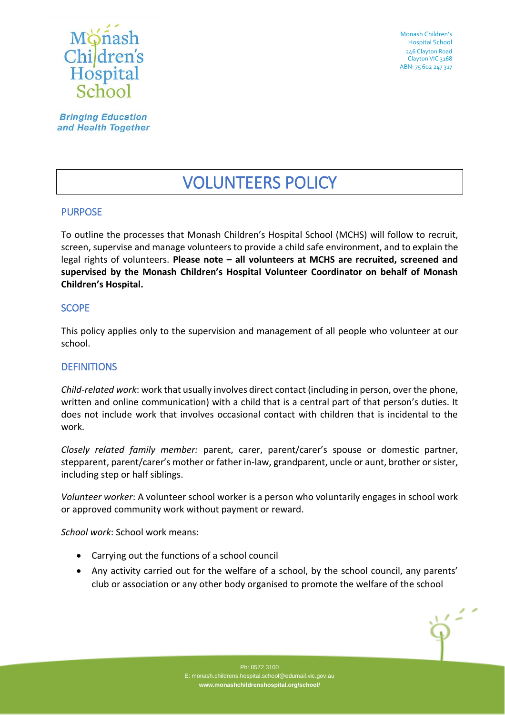

Monash Children's Hospital School 246 Clayton Road Clayton VIC 3168 ABN: 75 602 247 317

**Bringing Education** and Health Together

# VOLUNTEERS POLICY

# PURPOSE

To outline the processes that Monash Children's Hospital School (MCHS) will follow to recruit, screen, supervise and manage volunteers to provide a child safe environment, and to explain the legal rights of volunteers. **Please note – all volunteers at MCHS are recruited, screened and supervised by the Monash Children's Hospital Volunteer Coordinator on behalf of Monash Children's Hospital.**

## SCOPE

This policy applies only to the supervision and management of all people who volunteer at our school.

## **DEFINITIONS**

*Child-related work*: work that usually involves direct contact (including in person, over the phone, written and online communication) with a child that is a central part of that person's duties. It does not include work that involves occasional contact with children that is incidental to the work.

*Closely related family member:* parent, carer, parent/carer's spouse or domestic partner, stepparent, parent/carer's mother or father in-law, grandparent, uncle or aunt, brother or sister, including step or half siblings.

*Volunteer worker*: A volunteer school worker is a person who voluntarily engages in school work or approved community work without payment or reward.

*School work*: School work means:

- Carrying out the functions of a school council
- Any activity carried out for the welfare of a school, by the school council, any parents' club or association or any other body organised to promote the welfare of the school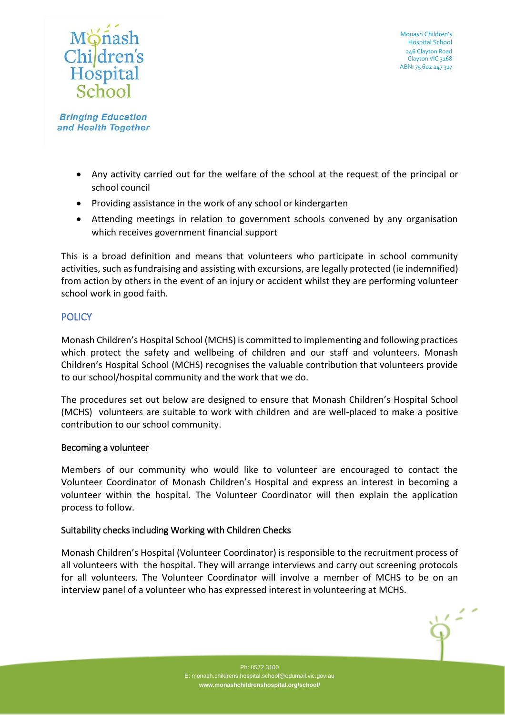

- Any activity carried out for the welfare of the school at the request of the principal or school council
- Providing assistance in the work of any school or kindergarten
- Attending meetings in relation to government schools convened by any organisation which receives government financial support

This is a broad definition and means that volunteers who participate in school community activities, such as fundraising and assisting with excursions, are legally protected (ie indemnified) from action by others in the event of an injury or accident whilst they are performing volunteer school work in good faith.

# **POLICY**

Monash Children's Hospital School (MCHS) is committed to implementing and following practices which protect the safety and wellbeing of children and our staff and volunteers. Monash Children's Hospital School (MCHS) recognises the valuable contribution that volunteers provide to our school/hospital community and the work that we do.

The procedures set out below are designed to ensure that Monash Children's Hospital School (MCHS) volunteers are suitable to work with children and are well-placed to make a positive contribution to our school community.

# Becoming a volunteer

Members of our community who would like to volunteer are encouraged to contact the Volunteer Coordinator of Monash Children's Hospital and express an interest in becoming a volunteer within the hospital. The Volunteer Coordinator will then explain the application process to follow.

# Suitability checks including Working with Children Checks

Monash Children's Hospital (Volunteer Coordinator) is responsible to the recruitment process of all volunteers with the hospital. They will arrange interviews and carry out screening protocols for all volunteers. The Volunteer Coordinator will involve a member of MCHS to be on an interview panel of a volunteer who has expressed interest in volunteering at MCHS.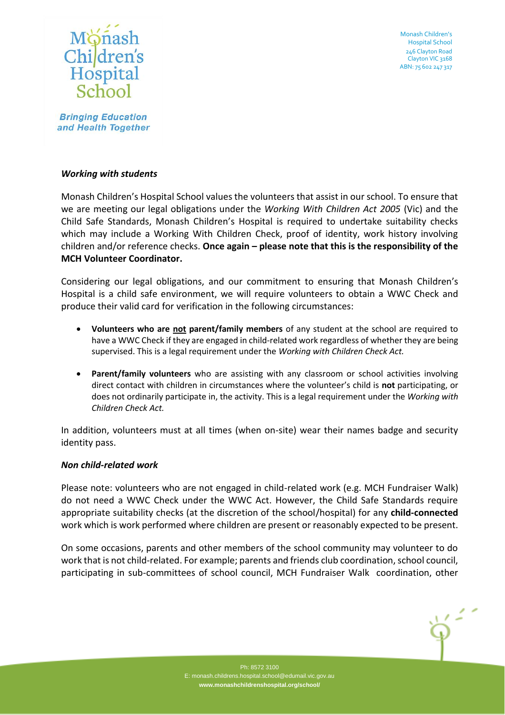

Monash Children's Hospital School 246 Clayton Road Clayton VIC 3168 ABN: 75 602 247 317

**Bringing Education** and Health Together

#### *Working with students*

Monash Children's Hospital School values the volunteers that assist in our school. To ensure that we are meeting our legal obligations under the *Working With Children Act 2005* (Vic) and the Child Safe Standards, Monash Children's Hospital is required to undertake suitability checks which may include a Working With Children Check, proof of identity, work history involving children and/or reference checks. **Once again – please note that this is the responsibility of the MCH Volunteer Coordinator.**

Considering our legal obligations, and our commitment to ensuring that Monash Children's Hospital is a child safe environment, we will require volunteers to obtain a WWC Check and produce their valid card for verification in the following circumstances:

- **Volunteers who are not parent/family members** of any student at the school are required to have a WWC Check if they are engaged in child-related work regardless of whether they are being supervised. This is a legal requirement under the *Working with Children Check Act.*
- **Parent/family volunteers** who are assisting with any classroom or school activities involving direct contact with children in circumstances where the volunteer's child is **not** participating, or does not ordinarily participate in, the activity. This is a legal requirement under the *Working with Children Check Act.*

In addition, volunteers must at all times (when on-site) wear their names badge and security identity pass.

#### *Non child-related work*

Please note: volunteers who are not engaged in child-related work (e.g. MCH Fundraiser Walk) do not need a WWC Check under the WWC Act. However, the Child Safe Standards require appropriate suitability checks (at the discretion of the school/hospital) for any **child-connected** work which is work performed where children are present or reasonably expected to be present.

On some occasions, parents and other members of the school community may volunteer to do work that is not child-related. For example; parents and friends club coordination, school council, participating in sub-committees of school council, MCH Fundraiser Walk coordination, other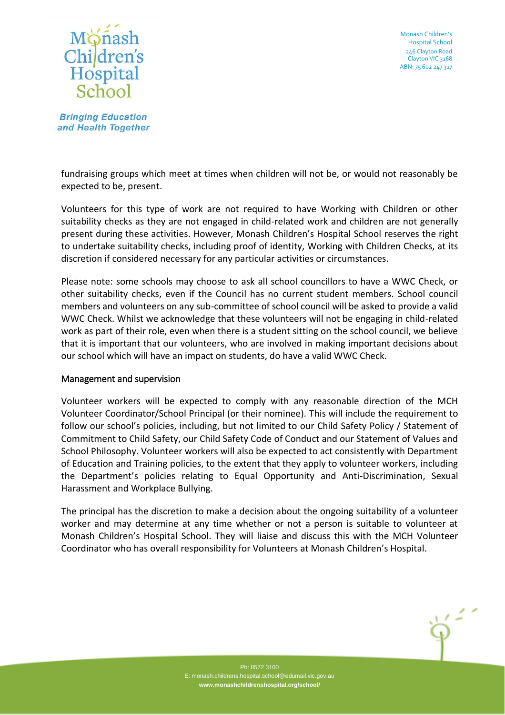



fundraising groups which meet at times when children will not be, or would not reasonably be expected to be, present.

Volunteers for this type of work are not required to have Working with Children or other suitability checks as they are not engaged in child-related work and children are not generally present during these activities. However, Monash Children's Hospital School reserves the right to undertake suitability checks, including proof of identity, Working with Children Checks, at its discretion if considered necessary for any particular activities or circumstances.

Please note: some schools may choose to ask all school councillors to have a WWC Check, or other suitability checks, even if the Council has no current student members. School council members and volunteers on any sub-committee of school council will be asked to provide a valid WWC Check. Whilst we acknowledge that these volunteers will not be engaging in child-related work as part of their role, even when there is a student sitting on the school council, we believe that it is important that our volunteers, who are involved in making important decisions about our school which will have an impact on students, do have a valid WWC Check.

## Management and supervision

Volunteer workers will be expected to comply with any reasonable direction of the MCH Volunteer Coordinator/School Principal (or their nominee). This will include the requirement to follow our school's policies, including, but not limited to our Child Safety Policy / Statement of Commitment to Child Safety, our Child Safety Code of Conduct and our Statement of Values and School Philosophy. Volunteer workers will also be expected to act consistently with Department of Education and Training policies, to the extent that they apply to volunteer workers, including the Department's policies relating to Equal Opportunity and Anti-Discrimination, Sexual Harassment and Workplace Bullying.

The principal has the discretion to make a decision about the ongoing suitability of a volunteer worker and may determine at any time whether or not a person is suitable to volunteer at Monash Children's Hospital School. They will liaise and discuss this with the MCH Volunteer Coordinator who has overall responsibility for Volunteers at Monash Children's Hospital.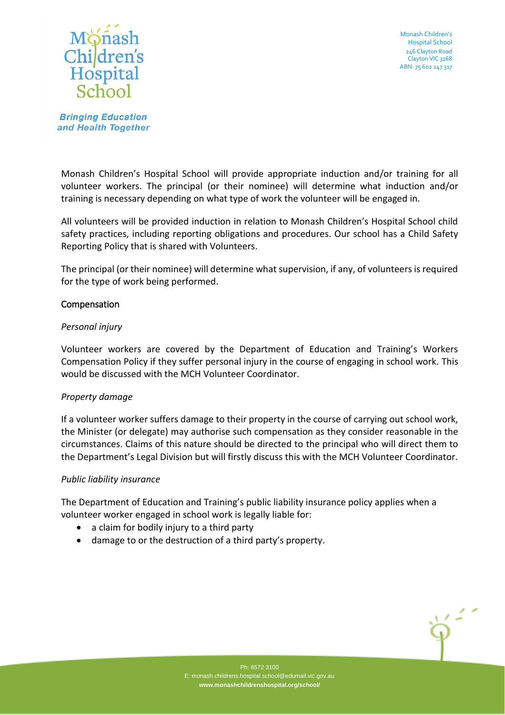



Monash Children's Hospital School will provide appropriate induction and/or training for all volunteer workers. The principal (or their nominee) will determine what induction and/or training is necessary depending on what type of work the volunteer will be engaged in.

All volunteers will be provided induction in relation to Monash Children's Hospital School child safety practices, including reporting obligations and procedures. Our school has a Child Safety Reporting Policy that is shared with Volunteers.

The principal (or their nominee) will determine what supervision, if any, of volunteers is required for the type of work being performed.

## Compensation

## *Personal injury*

Volunteer workers are covered by the Department of Education and Training's Workers Compensation Policy if they suffer personal injury in the course of engaging in school work. This would be discussed with the MCH Volunteer Coordinator.

# *Property damage*

If a volunteer worker suffers damage to their property in the course of carrying out school work, the Minister (or delegate) may authorise such compensation as they consider reasonable in the circumstances. Claims of this nature should be directed to the principal who will direct them to the Department's Legal Division but will firstly discuss this with the MCH Volunteer Coordinator.

## *Public liability insurance*

The Department of Education and Training's public liability insurance policy applies when a volunteer worker engaged in school work is legally liable for:

- a claim for bodily injury to a third party
- damage to or the destruction of a third party's property.